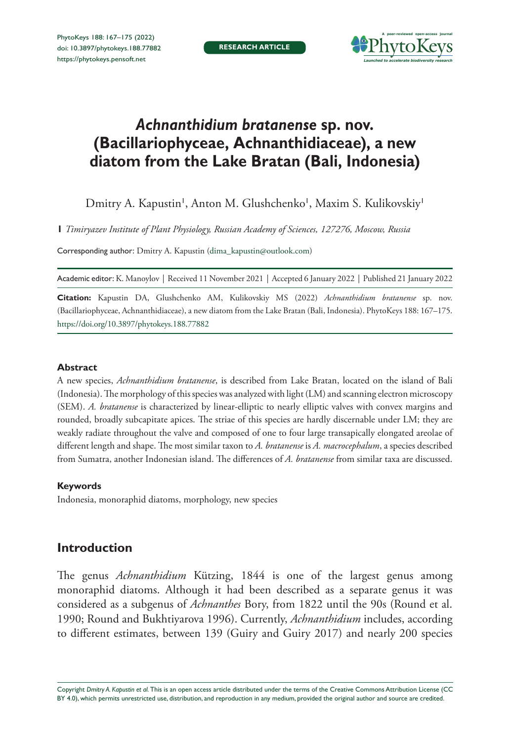**RESEARCH ARTICLE**



# *Achnanthidium bratanense* **sp. nov. (Bacillariophyceae, Achnanthidiaceae), a new diatom from the Lake Bratan (Bali, Indonesia)**

Dmitry A. Kapustin', Anton M. Glushchenko', Maxim S. Kulikovskiy'

**1** *Timiryazev Institute of Plant Physiology, Russian Academy of Sciences, 127276, Moscow, Russia*

Corresponding author: Dmitry A. Kapustin [\(dima\\_kapustin@outlook.com](mailto:dima_kapustin@outlook.com))

Academic editor: K. Manoylov | Received 11 November 2021 | Accepted 6 January 2022 | Published 21 January 2022

**Citation:** Kapustin DA, Glushchenko AM, Kulikovskiy MS (2022) *Achnanthidium bratanense* sp. nov. (Bacillariophyceae, Achnanthidiaceae), a new diatom from the Lake Bratan (Bali, Indonesia). PhytoKeys 188: 167–175. <https://doi.org/10.3897/phytokeys.188.77882>

#### **Abstract**

A new species, *Achnanthidium bratanense*, is described from Lake Bratan, located on the island of Bali (Indonesia). The morphology of this species was analyzed with light (LM) and scanning electron microscopy (SEM). *A. bratanense* is characterized by linear-elliptic to nearly elliptic valves with convex margins and rounded, broadly subcapitate apices. The striae of this species are hardly discernable under LM; they are weakly radiate throughout the valve and composed of one to four large transapically elongated areolae of different length and shape. The most similar taxon to *A. bratanense* is *A. macrocephalum*, a species described from Sumatra, another Indonesian island. The differences of *A. bratanense* from similar taxa are discussed.

#### **Keywords**

Indonesia, monoraphid diatoms, morphology, new species

# **Introduction**

The genus *Achnanthidium* Kützing, 1844 is one of the largest genus among monoraphid diatoms. Although it had been described as a separate genus it was considered as a subgenus of *Achnanthes* Bory, from 1822 until the 90s (Round et al. 1990; Round and Bukhtiyarova 1996). Currently, *Achnanthidium* includes, according to different estimates, between 139 (Guiry and Guiry 2017) and nearly 200 species

Copyright *Dmitry A. Kapustin et al.* This is an open access article distributed under the terms of the [Creative Commons Attribution License \(CC](http://creativecommons.org/licenses/by/4.0/)  [BY 4.0\)](http://creativecommons.org/licenses/by/4.0/), which permits unrestricted use, distribution, and reproduction in any medium, provided the original author and source are credited.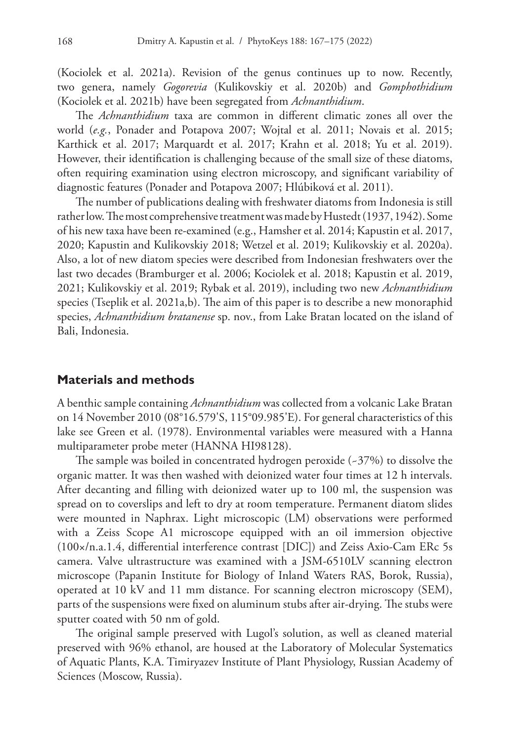(Kociolek et al. 2021a). Revision of the genus continues up to now. Recently, two genera, namely *Gogorevia* (Kulikovskiy et al. 2020b) and *Gomphothidium* (Kociolek et al. 2021b) have been segregated from *Achnanthidium*.

The *Achnanthidium* taxa are common in different climatic zones all over the world (*e.g.*, Ponader and Potapova 2007; Wojtal et al. 2011; Novais et al. 2015; Karthick et al. 2017; Marquardt et al. 2017; Krahn et al. 2018; Yu et al. 2019). However, their identification is challenging because of the small size of these diatoms, often requiring examination using electron microscopy, and significant variability of diagnostic features (Ponader and Potapova 2007; Hlúbiková et al. 2011).

The number of publications dealing with freshwater diatoms from Indonesia is still rather low. The most comprehensive treatment was made by Hustedt (1937, 1942). Some of his new taxa have been re-examined (e.g., Hamsher et al. 2014; Kapustin et al. 2017, 2020; Kapustin and Kulikovskiy 2018; Wetzel et al. 2019; Kulikovskiy et al. 2020a). Also, a lot of new diatom species were described from Indonesian freshwaters over the last two decades (Bramburger et al. 2006; Kociolek et al. 2018; Kapustin et al. 2019, 2021; Kulikovskiy et al. 2019; Rybak et al. 2019), including two new *Achnanthidium* species (Tseplik et al. 2021a,b). The aim of this paper is to describe a new monoraphid species, *Achnanthidium bratanense* sp. nov., from Lake Bratan located on the island of Bali, Indonesia.

#### **Materials and methods**

A benthic sample containing *Achnanthidium* was collected from a volcanic Lake Bratan on 14 November 2010 (08°16.579'S, 115°09.985'E). For general characteristics of this lake see Green et al. (1978). Environmental variables were measured with a Hanna multiparameter probe meter (HANNA HI98128).

The sample was boiled in concentrated hydrogen peroxide (~37%) to dissolve the organic matter. It was then washed with deionized water four times at 12 h intervals. After decanting and filling with deionized water up to 100 ml, the suspension was spread on to coverslips and left to dry at room temperature. Permanent diatom slides were mounted in Naphrax. Light microscopic (LM) observations were performed with a Zeiss Scope A1 microscope equipped with an oil immersion objective (100×/n.a.1.4, differential interference contrast [DIC]) and Zeiss Axio-Cam ERc 5s camera. Valve ultrastructure was examined with a JSM-6510LV scanning electron microscope (Papanin Institute for Biology of Inland Waters RAS, Borok, Russia), operated at 10 kV and 11 mm distance. For scanning electron microscopy (SEM), parts of the suspensions were fixed on aluminum stubs after air-drying. The stubs were sputter coated with 50 nm of gold.

The original sample preserved with Lugol's solution, as well as cleaned material preserved with 96% ethanol, are housed at the Laboratory of Molecular Systematics of Aquatic Plants, K.A. Timiryazev Institute of Plant Physiology, Russian Academy of Sciences (Moscow, Russia).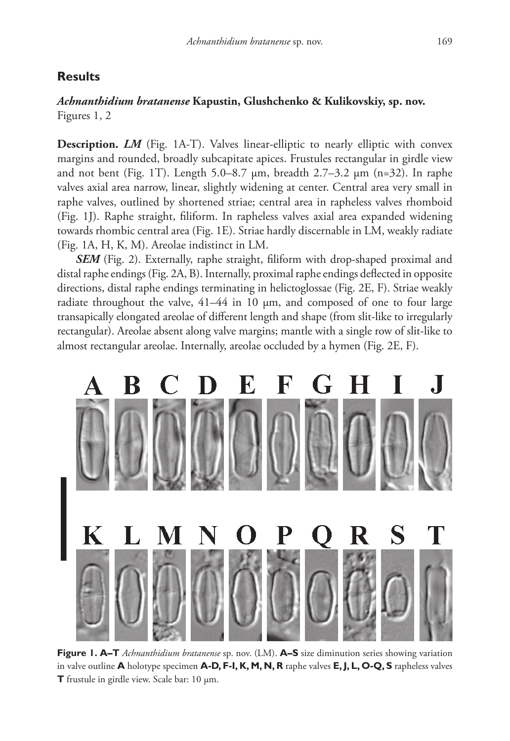## **Results**

#### *Achnanthidium bratanense* **Kapustin, Glushchenko & Kulikovskiy, sp. nov.** Figures 1, 2

Description. *LM* (Fig. 1A-T). Valves linear-elliptic to nearly elliptic with convex margins and rounded, broadly subcapitate apices. Frustules rectangular in girdle view and not bent (Fig. 1T). Length 5.0–8.7 µm, breadth 2.7–3.2 µm (n=32). In raphe valves axial area narrow, linear, slightly widening at center. Central area very small in raphe valves, outlined by shortened striae; central area in rapheless valves rhomboid (Fig. 1J). Raphe straight, filiform. In rapheless valves axial area expanded widening towards rhombic central area (Fig. 1E). Striae hardly discernable in LM, weakly radiate (Fig. 1A, H, K, M). Areolae indistinct in LM.

**SEM** (Fig. 2). Externally, raphe straight, filiform with drop-shaped proximal and distal raphe endings (Fig. 2A, B). Internally, proximal raphe endings deflected in opposite directions, distal raphe endings terminating in helictoglossae (Fig. 2E, F). Striae weakly radiate throughout the valve,  $41-44$  in 10  $\mu$ m, and composed of one to four large transapically elongated areolae of different length and shape (from slit-like to irregularly rectangular). Areolae absent along valve margins; mantle with a single row of slit-like to almost rectangular areolae. Internally, areolae occluded by a hymen (Fig. 2E, F).



**Figure 1. A–T** *Achnanthidium bratanense* sp. nov. (LM). **A–S** size diminution series showing variation in valve outline **A** holotype specimen **A-D, F-I, K, M, N, R** raphe valves **E, J, L, O-Q, S** rapheless valves **T** frustule in girdle view. Scale bar: 10 µm.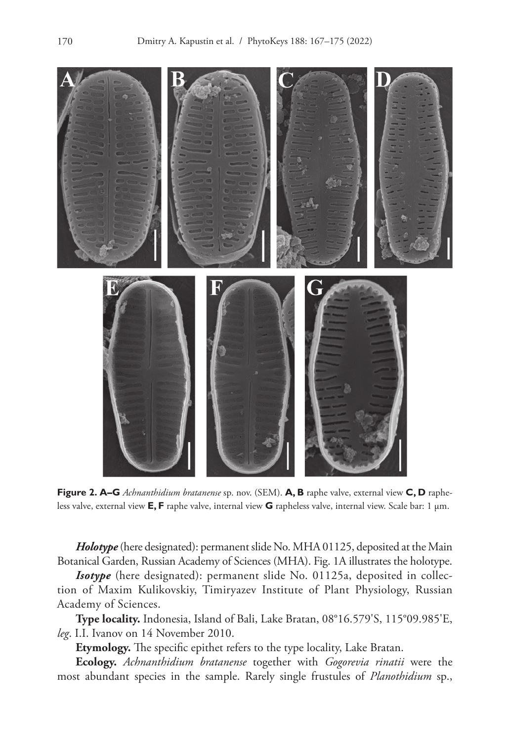

**Figure 2. A–G** *Achnanthidium bratanense* sp. nov. (SEM). **A, B** raphe valve, external view **C, D** rapheless valve, external view **E, F** raphe valve, internal view **G** rapheless valve, internal view. Scale bar: 1 µm.

*Holotype* (here designated): permanent slide No. MHA 01125, deposited at the Main Botanical Garden, Russian Academy of Sciences (MHA). Fig. 1A illustrates the holotype.

**Isotype** (here designated): permanent slide No. 01125a, deposited in collection of Maxim Kulikovskiy, Timiryazev Institute of Plant Physiology, Russian Academy of Sciences.

**Type locality.** Indonesia, Island of Bali, Lake Bratan, 08°16.579'S, 115°09.985'E, *leg*. I.I. Ivanov on 14 November 2010.

**Etymology.** The specific epithet refers to the type locality, Lake Bratan.

**Ecology.** *Achnanthidium bratanense* together with *Gogorevia rinatii* were the most abundant species in the sample. Rarely single frustules of *Planothidium* sp.,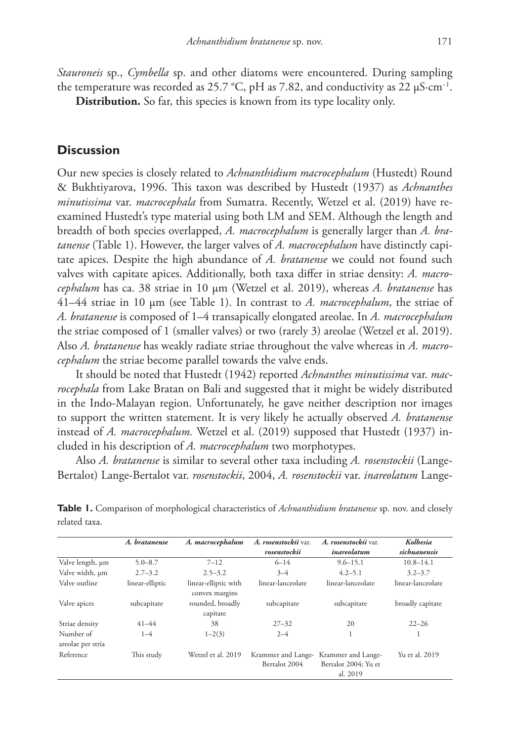*Stauroneis* sp., *Cymbella* sp. and other diatoms were encountered. During sampling the temperature was recorded as 25.7 °C, pH as 7.82, and conductivity as 22  $\mu$ S⋅cm<sup>-1</sup>.

**Distribution.** So far, this species is known from its type locality only.

## **Discussion**

Our new species is closely related to *Achnanthidium macrocephalum* (Hustedt) Round & Bukhtiyarova, 1996. This taxon was described by Hustedt (1937) as *Achnanthes minutissima* var. *macrocephala* from Sumatra. Recently, Wetzel et al. (2019) have reexamined Hustedt's type material using both LM and SEM. Although the length and breadth of both species overlapped, *A. macrocephalum* is generally larger than *A. bratanense* (Table 1). However, the larger valves of *A. macrocephalum* have distinctly capitate apices. Despite the high abundance of *A. bratanense* we could not found such valves with capitate apices. Additionally, both taxa differ in striae density: *A. macrocephalum* has ca. 38 striae in 10 µm (Wetzel et al. 2019), whereas *A. bratanense* has 41–44 striae in 10 µm (see Table 1). In contrast to *A. macrocephalum*, the striae of *A. bratanense* is composed of 1–4 transapically elongated areolae. In *A. macrocephalum* the striae composed of 1 (smaller valves) or two (rarely 3) areolae (Wetzel et al. 2019). Also *A. bratanense* has weakly radiate striae throughout the valve whereas in *A. macrocephalum* the striae become parallel towards the valve ends.

It should be noted that Hustedt (1942) reported *Achnanthes minutissima* var. *macrocephala* from Lake Bratan on Bali and suggested that it might be widely distributed in the Indo-Malayan region. Unfortunately, he gave neither description nor images to support the written statement. It is very likely he actually observed *A. bratanense* instead of *A. macrocephalum.* Wetzel et al. (2019) supposed that Hustedt (1937) included in his description of *A. macrocephalum* two morphotypes.

Also *A. bratanense* is similar to several other taxa including *A. rosenstockii* (Lange-Bertalot) Lange-Bertalot var. *rosenstockii*, 2004, *A. rosenstockii* var. *inareolatum* Lange-

|                                | A. bratanense   | A. macrocephalum                       | A. rosenstockii var.<br>rosenstockii | A. rosenstockii var.<br>inareolatum                    | Kolbesia<br>sichuanensis |
|--------------------------------|-----------------|----------------------------------------|--------------------------------------|--------------------------------------------------------|--------------------------|
| Valve length, µm               | $5.0 - 8.7$     | $7 - 12$                               | $6 - 14$                             | $9.6 - 15.1$                                           | $10.8 - 14.1$            |
| Valve width, µm                | $2.7 - 3.2$     | $2.5 - 3.2$                            | $3 - 4$                              | $4.2 - 5.1$                                            | $3.2 - 3.7$              |
| Valve outline                  | linear-elliptic | linear-elliptic with<br>convex margins | linear-lanceolate                    | linear-lanceolate                                      | linear-lanceolate        |
| Valve apices                   | subcapitate     | rounded, broadly<br>capitate           | subcapitate                          | subcapitate                                            | broadly capitate         |
| Striae density                 | $41 - 44$       | 38                                     | $27 - 32$                            | 20                                                     | $22 - 26$                |
| Number of<br>areolae per stria | $1 - 4$         | $1 - 2(3)$                             | $2 - 4$                              |                                                        | 1                        |
| Reference                      | This study      | Wetzel et al. 2019                     | Krammer and Lange-<br>Bertalot 2004  | Krammer and Lange-<br>Bertalot 2004: Yu et<br>al. 2019 | Yu et al. 2019           |

**Table 1.** Comparison of morphological characteristics of *Achnanthidium bratanense* sp. nov. and closely related taxa.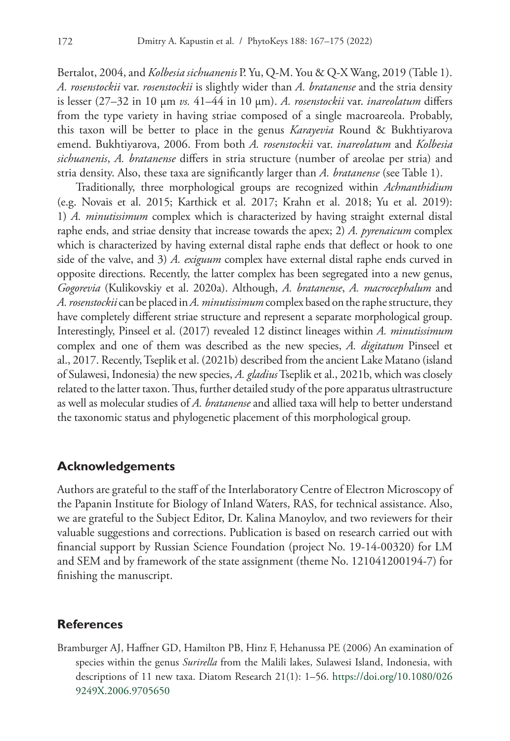Bertalot, 2004, and *Kolbesia sichuanenis* P. Yu, Q-M. You & Q-X Wang, 2019 (Table 1). *A. rosenstockii* var. *rosenstockii* is slightly wider than *A. bratanense* and the stria density is lesser (27–32 in 10 µm *vs.* 41–44 in 10 µm). *A. rosenstockii* var. *inareolatum* differs from the type variety in having striae composed of a single macroareola. Probably, this taxon will be better to place in the genus *Karayevia* Round & Bukhtiyarova emend. Bukhtiyarova, 2006. From both *A. rosenstockii* var. *inareolatum* and *Kolbesia sichuanenis*, *A. bratanense* differs in stria structure (number of areolae per stria) and stria density. Also, these taxa are significantly larger than *A. bratanense* (see Table 1).

Traditionally, three morphological groups are recognized within *Achnanthidium* (e.g. Novais et al. 2015; Karthick et al. 2017; Krahn et al. 2018; Yu et al. 2019): 1) *A. minutissimum* complex which is characterized by having straight external distal raphe ends, and striae density that increase towards the apex; 2) *A. pyrenaicum* complex which is characterized by having external distal raphe ends that deflect or hook to one side of the valve, and 3) *A. exiguum* complex have external distal raphe ends curved in opposite directions. Recently, the latter complex has been segregated into a new genus, *Gogorevia* (Kulikovskiy et al. 2020a). Although, *A. bratanense*, *A. macrocephalum* and *A. rosenstockii* can be placed in *A. minutissimum* complex based on the raphe structure, they have completely different striae structure and represent a separate morphological group. Interestingly, Pinseel et al. (2017) revealed 12 distinct lineages within *A. minutissimum* complex and one of them was described as the new species, *A. digitatum* Pinseel et al., 2017. Recently, Tseplik et al. (2021b) described from the ancient Lake Matano (island of Sulawesi, Indonesia) the new species, *A. gladius* Tseplik et al., 2021b, which was closely related to the latter taxon. Thus, further detailed study of the pore apparatus ultrastructure as well as molecular studies of *A. bratanense* and allied taxa will help to better understand the taxonomic status and phylogenetic placement of this morphological group.

#### **Acknowledgements**

Authors are grateful to the staff of the Interlaboratory Centre of Electron Microscopy of the Papanin Institute for Biology of Inland Waters, RAS, for technical assistance. Also, we are grateful to the Subject Editor, Dr. Kalina Manoylov, and two reviewers for their valuable suggestions and corrections. Publication is based on research carried out with financial support by Russian Science Foundation (project No. 19-14-00320) for LM and SEM and by framework of the state assignment (theme No. 121041200194-7) for finishing the manuscript.

## **References**

Bramburger AJ, Haffner GD, Hamilton PB, Hinz F, Hehanussa PE (2006) An examination of species within the genus *Surirella* from the Malili lakes, Sulawesi Island, Indonesia, with descriptions of 11 new taxa. Diatom Research 21(1): 1–56. [https://doi.org/10.1080/026](https://doi.org/10.1080/0269249X.2006.9705650) [9249X.2006.9705650](https://doi.org/10.1080/0269249X.2006.9705650)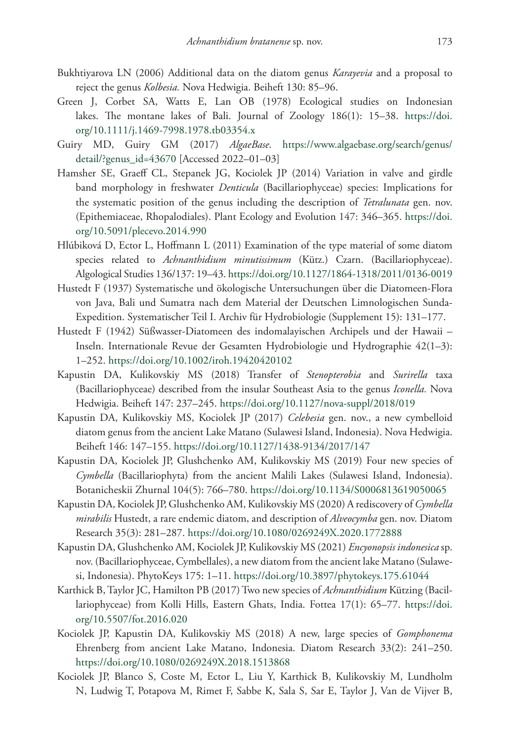- Bukhtiyarova LN (2006) Additional data on the diatom genus *Karayevia* and a proposal to reject the genus *Kolbesia.* Nova Hedwigia. Beiheft 130: 85–96.
- Green J, Corbet SA, Watts E, Lan OB (1978) Ecological studies on Indonesian lakes. The montane lakes of Bali. Journal of Zoology 186(1): 15–38. [https://doi.](https://doi.org/10.1111/j.1469-7998.1978.tb03354.x) [org/10.1111/j.1469-7998.1978.tb03354.x](https://doi.org/10.1111/j.1469-7998.1978.tb03354.x)
- Guiry MD, Guiry GM (2017) *AlgaeBase*. [https://www.algaebase.org/search/genus/](https://www.algaebase.org/search/genus/detail/?genus_id=43670) [detail/?genus\\_id=43670](https://www.algaebase.org/search/genus/detail/?genus_id=43670) [Accessed 2022–01–03]
- Hamsher SE, Graeff CL, Stepanek JG, Kociolek JP (2014) Variation in valve and girdle band morphology in freshwater *Denticula* (Bacillariophyceae) species: Implications for the systematic position of the genus including the description of *Tetralunata* gen. nov. (Epithemiaceae, Rhopalodiales). Plant Ecology and Evolution 147: 346–365. [https://doi.](https://doi.org/10.5091/plecevo.2014.990) [org/10.5091/plecevo.2014.990](https://doi.org/10.5091/plecevo.2014.990)
- Hlúbiková D, Ector L, Hoffmann L (2011) Examination of the type material of some diatom species related to *Achnanthidium minutissimum* (Kütz.) Czarn. (Bacillariophyceae). Algological Studies 136/137: 19–43.<https://doi.org/10.1127/1864-1318/2011/0136-0019>
- Hustedt F (1937) Systematische und ökologische Untersuchungen über die Diatomeen-Flora von Java, Bali und Sumatra nach dem Material der Deutschen Limnologischen Sunda-Expedition. Systematischer Teil I. Archiv für Hydrobiologie (Supplement 15): 131–177.
- Hustedt F (1942) Süßwasser-Diatomeen des indomalayischen Archipels und der Hawaii Inseln. Internationale Revue der Gesamten Hydrobiologie und Hydrographie 42(1–3): 1–252.<https://doi.org/10.1002/iroh.19420420102>
- Kapustin DA, Kulikovskiy MS (2018) Transfer of *Stenopterobia* and *Surirella* taxa (Bacillariophyceae) described from the insular Southeast Asia to the genus *Iconella.* Nova Hedwigia. Beiheft 147: 237–245. <https://doi.org/10.1127/nova-suppl/2018/019>
- Kapustin DA, Kulikovskiy MS, Kociolek JP (2017) *Celebesia* gen. nov., a new cymbelloid diatom genus from the ancient Lake Matano (Sulawesi Island, Indonesia). Nova Hedwigia. Beiheft 146: 147–155. <https://doi.org/10.1127/1438-9134/2017/147>
- Kapustin DA, Kociolek JP, Glushchenko AM, Kulikovskiy MS (2019) Four new species of *Cymbella* (Bacillariophyta) from the ancient Malili Lakes (Sulawesi Island, Indonesia). Botanicheskii Zhurnal 104(5): 766–780. <https://doi.org/10.1134/S0006813619050065>
- Kapustin DA, Kociolek JP, Glushchenko AM, Kulikovskiy MS (2020) A rediscovery of *Cymbella mirabilis* Hustedt, a rare endemic diatom, and description of *Alveocymba* gen. nov. Diatom Research 35(3): 281–287.<https://doi.org/10.1080/0269249X.2020.1772888>
- Kapustin DA, Glushchenko AM, Kociolek JP, Kulikovskiy MS (2021) *Encyonopsis indonesica* sp. nov. (Bacillariophyceae, Cymbellales), a new diatom from the ancient lake Matano (Sulawesi, Indonesia). PhytoKeys 175: 1–11. <https://doi.org/10.3897/phytokeys.175.61044>
- Karthick B, Taylor JC, Hamilton PB (2017) Two new species of *Achnanthidium* Kützing (Bacillariophyceae) from Kolli Hills, Eastern Ghats, India. Fottea 17(1): 65–77. [https://doi.](https://doi.org/10.5507/fot.2016.020) [org/10.5507/fot.2016.020](https://doi.org/10.5507/fot.2016.020)
- Kociolek JP, Kapustin DA, Kulikovskiy MS (2018) A new, large species of *Gomphonema* Ehrenberg from ancient Lake Matano, Indonesia. Diatom Research 33(2): 241–250. <https://doi.org/10.1080/0269249X.2018.1513868>
- Kociolek JP, Blanco S, Coste M, Ector L, Liu Y, Karthick B, Kulikovskiy M, Lundholm N, Ludwig T, Potapova M, Rimet F, Sabbe K, Sala S, Sar E, Taylor J, Van de Vijver B,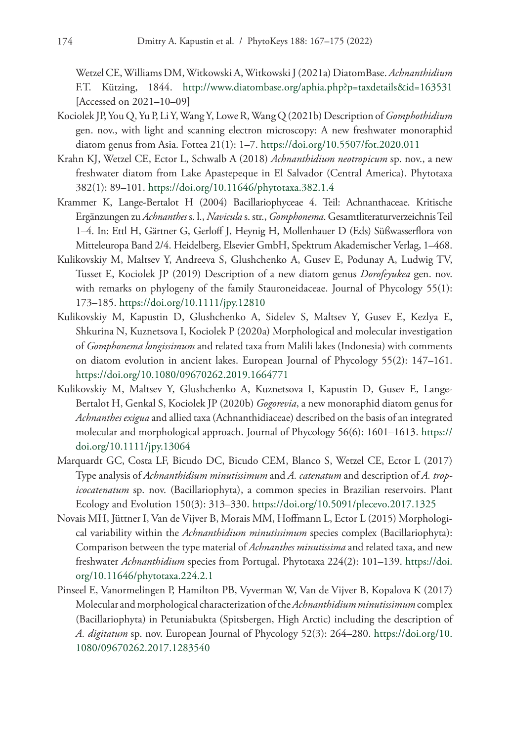Wetzel CE, Williams DM, Witkowski A, Witkowski J (2021a) DiatomBase. *Achnanthidium* F.T. Kützing, 1844. <http://www.diatombase.org/aphia.php?p=taxdetails&id=163531> [Accessed on 2021–10–09]

- Kociolek JP, You Q, Yu P, Li Y, Wang Y, Lowe R, Wang Q (2021b) Description of *Gomphothidium* gen. nov., with light and scanning electron microscopy: A new freshwater monoraphid diatom genus from Asia. Fottea 21(1): 1–7.<https://doi.org/10.5507/fot.2020.011>
- Krahn KJ, Wetzel CE, Ector L, Schwalb A (2018) *Achnanthidium neotropicum* sp. nov., a new freshwater diatom from Lake Apastepeque in El Salvador (Central America). Phytotaxa 382(1): 89–101. <https://doi.org/10.11646/phytotaxa.382.1.4>
- Krammer K, Lange-Bertalot H (2004) Bacillariophyceae 4. Teil: Achnanthaceae. Kritische Ergänzungen zu *Achnanthes* s. l., *Navicula* s. str., *Gomphonema*. Gesamtliteraturverzeichnis Teil 1–4. In: Ettl H, Gärtner G, Gerloff J, Heynig H, Mollenhauer D (Eds) Süßwasserflora von Mitteleuropa Band 2/4. Heidelberg, Elsevier GmbH, Spektrum Akademischer Verlag, 1–468.
- Kulikovskiy M, Maltsev Y, Andreeva S, Glushchenko A, Gusev E, Podunay A, Ludwig TV, Tusset E, Kociolek JP (2019) Description of a new diatom genus *Dorofeyukea* gen. nov. with remarks on phylogeny of the family Stauroneidaceae. Journal of Phycology 55(1): 173–185.<https://doi.org/10.1111/jpy.12810>
- Kulikovskiy M, Kapustin D, Glushchenko A, Sidelev S, Maltsev Y, Gusev E, Kezlya E, Shkurina N, Kuznetsova I, Kociolek P (2020a) Morphological and molecular investigation of *Gomphonema longissimum* and related taxa from Malili lakes (Indonesia) with comments on diatom evolution in ancient lakes. European Journal of Phycology 55(2): 147–161. <https://doi.org/10.1080/09670262.2019.1664771>
- Kulikovskiy M, Maltsev Y, Glushchenko A, Kuznetsova I, Kapustin D, Gusev E, Lange-Bertalot H, Genkal S, Kociolek JP (2020b) *Gogorevia*, a new monoraphid diatom genus for *Achnanthes exigua* and allied taxa (Achnanthidiaceae) described on the basis of an integrated molecular and morphological approach. Journal of Phycology 56(6): 1601–1613. [https://](https://doi.org/10.1111/jpy.13064) [doi.org/10.1111/jpy.13064](https://doi.org/10.1111/jpy.13064)
- Marquardt GC, Costa LF, Bicudo DC, Bicudo CEM, Blanco S, Wetzel CE, Ector L (2017) Type analysis of *Achnanthidium minutissimum* and *A. catenatum* and description of *A. tropicocatenatum* sp. nov. (Bacillariophyta), a common species in Brazilian reservoirs. Plant Ecology and Evolution 150(3): 313–330. <https://doi.org/10.5091/plecevo.2017.1325>
- Novais MH, Jüttner I, Van de Vijver B, Morais MM, Hoffmann L, Ector L (2015) Morphological variability within the *Achnanthidium minutissimum* species complex (Bacillariophyta): Comparison between the type material of *Achnanthes minutissima* and related taxa, and new freshwater *Achnanthidium* species from Portugal. Phytotaxa 224(2): 101–139. [https://doi.](https://doi.org/10.11646/phytotaxa.224.2.1) [org/10.11646/phytotaxa.224.2.1](https://doi.org/10.11646/phytotaxa.224.2.1)
- Pinseel E, Vanormelingen P, Hamilton PB, Vyverman W, Van de Vijver B, Kopalova K (2017) Molecular and morphological characterization of the *Achnanthidium minutissimum* complex (Bacillariophyta) in Petuniabukta (Spitsbergen, High Arctic) including the description of *A. digitatum* sp. nov. European Journal of Phycology 52(3): 264–280. [https://doi.org/10.](https://doi.org/10.1080/09670262.2017.1283540) [1080/09670262.2017.1283540](https://doi.org/10.1080/09670262.2017.1283540)